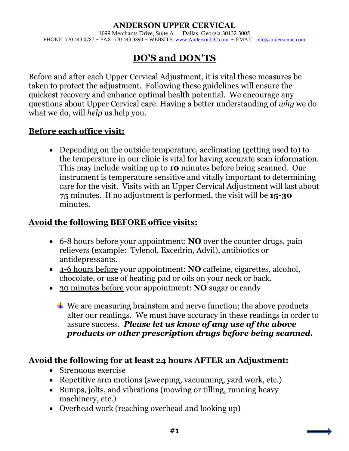#### ANDERSON UPPER CERVICAL

1099 Merchants Drive, Suite A Dallas, Georgia 30132-3005 PHONE: 770-443-0787 ~ FAX: 770-443-3890 ~ WEBSITE: [www.AndersonUC.com](http://www.andersonuc.com/) ~ EMAIL[: info@andersonuc.com](mailto:info@andersonuc.com)

## **DO'S and DON'TS**

Before and after each Upper Cervical Adjustment, it is vital these measures be taken to protect the adjustment. Following these guidelines will ensure the quickest recovery and enhance optimal health potential. We encourage any questions about Upper Cervical care. Having a better understanding of *why* we do what we do, will *help* us help you.

### **Before each office visit:**

• Depending on the outside temperature, acclimating (getting used to) to the temperature in our clinic is vital for having accurate scan information. This may include waiting up to **10** minutes before being scanned. Our instrument is temperature sensitive and vitally important to determining care for the visit. Visits with an Upper Cervical Adjustment will last about **75** minutes. If no adjustment is performed, the visit will be **15-30** minutes.

### **Avoid the following BEFORE office visits:**

- 6-8 hours before your appointment: **NO** over the counter drugs, pain relievers (example: Tylenol, Excedrin, Advil), antibiotics or antidepressants.
- 4-6 hours before your appointment: **NO** caffeine, cigarettes, alcohol, chocolate, or use of heating pad or oils on your neck or back.
- 30 minutes before your appointment: **NO** sugar or candy
	- $\ddot{\bullet}$  We are measuring brainstem and nerve function; the above products alter our readings. We must have accuracy in these readings in order to assure success. *Please let us know of any use of the above products or other prescription drugs before being scanned.*

### **Avoid the following for at least 24 hours AFTER an Adjustment:**

- Strenuous exercise
- Repetitive arm motions (sweeping, vacuuming, yard work, etc.)
- Bumps, jolts, and vibrations (mowing or tilling, running heavy machinery, etc.)
- Overhead work (reaching overhead and looking up)